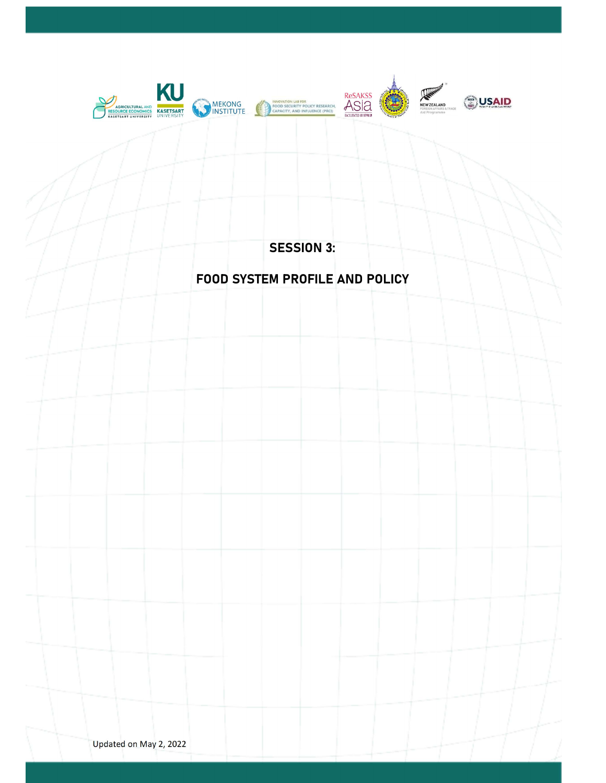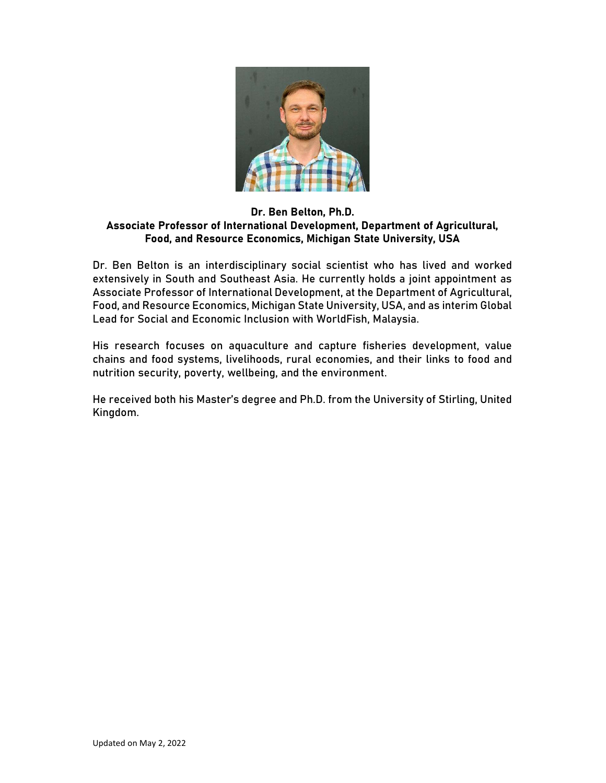

# Dr. Ben Belton, Ph.D. Associate Professor of International Development, Department of Agricultural, Food, and Resource Economics, Michigan State University, USA

Dr. Ben Belton is an interdisciplinary social scientist who has lived and worked extensively in South and Southeast Asia. He currently holds a joint appointment as Associate Professor of International Development, at the Department of Agricultural, Food, and Resource Economics, Michigan State University, USA, and as interim Global Lead for Social and Economic Inclusion with WorldFish, Malaysia.

His research focuses on aquaculture and capture fisheries development, value chains and food systems, livelihoods, rural economies, and their links to food and nutrition security, poverty, wellbeing, and the environment.

He received both his Master's degree and Ph.D. from the University of Stirling, United Kingdom.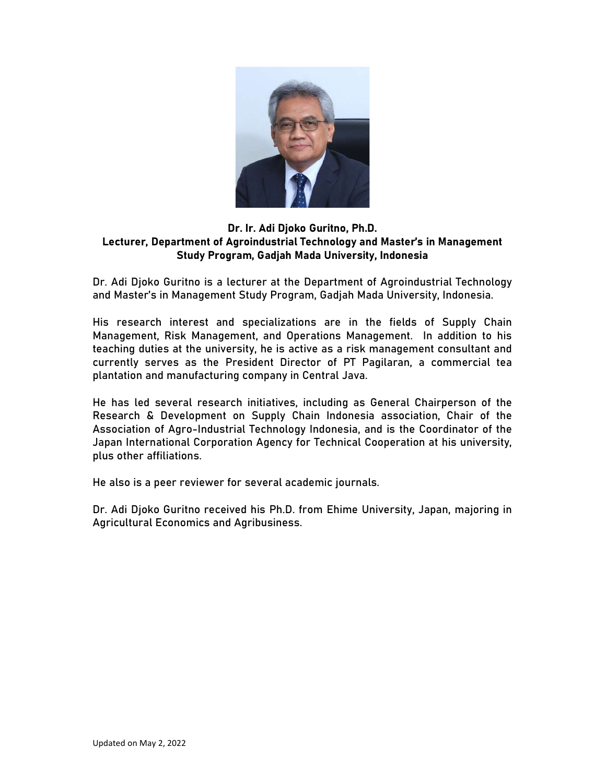

# Dr. Ir. Adi Djoko Guritno, Ph.D. Lecturer, Department of Agroindustrial Technology and Master's in Management Study Program, Gadjah Mada University, Indonesia

Dr. Adi Djoko Guritno is a lecturer at the Department of Agroindustrial Technology and Master's in Management Study Program, Gadjah Mada University, Indonesia.

His research interest and specializations are in the fields of Supply Chain Management, Risk Management, and Operations Management. In addition to his teaching duties at the university, he is active as a risk management consultant and currently serves as the President Director of PT Pagilaran, a commercial tea plantation and manufacturing company in Central Java.

He has led several research initiatives, including as General Chairperson of the Research & Development on Supply Chain Indonesia association, Chair of the Association of Agro-Industrial Technology Indonesia, and is the Coordinator of the Japan International Corporation Agency for Technical Cooperation at his university, plus other affiliations.

He also is a peer reviewer for several academic journals.

Dr. Adi Djoko Guritno received his Ph.D. from Ehime University, Japan, majoring in Agricultural Economics and Agribusiness.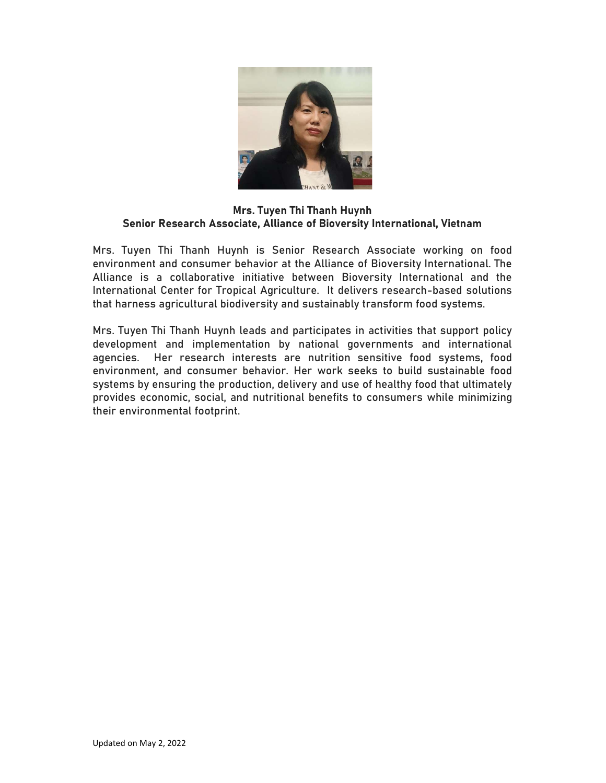

#### Mrs. Tuyen Thi Thanh Huynh Senior Research Associate, Alliance of Bioversity International, Vietnam

Mrs. Tuyen Thi Thanh Huynh is Senior Research Associate working on food environment and consumer behavior at the Alliance of Bioversity International. The Alliance is a collaborative initiative between Bioversity International and the International Center for Tropical Agriculture. It delivers research-based solutions that harness agricultural biodiversity and sustainably transform food systems.

Mrs. Tuyen Thi Thanh Huynh leads and participates in activities that support policy development and implementation by national governments and international agencies. Her research interests are nutrition sensitive food systems, food environment, and consumer behavior. Her work seeks to build sustainable food systems by ensuring the production, delivery and use of healthy food that ultimately provides economic, social, and nutritional benefits to consumers while minimizing their environmental footprint.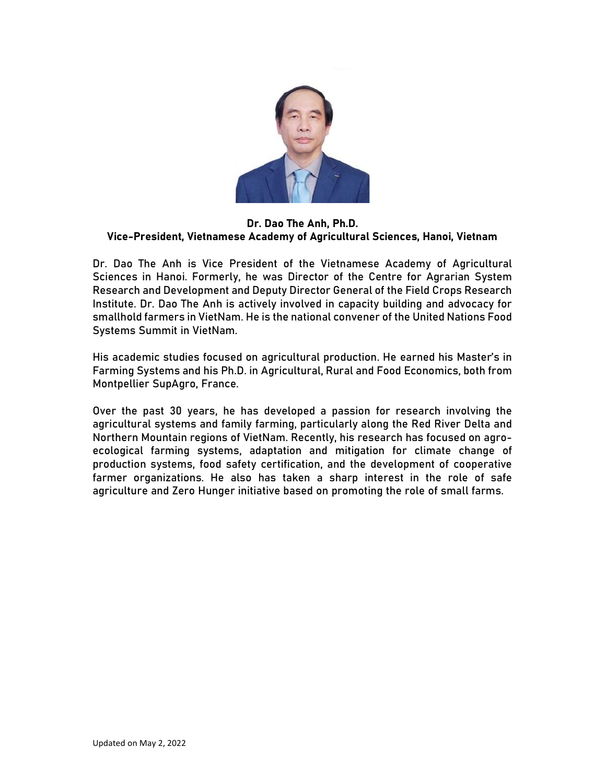

#### Dr. Dao The Anh, Ph.D. Vice-President, Vietnamese Academy of Agricultural Sciences, Hanoi, Vietnam

Dr. Dao The Anh is Vice President of the Vietnamese Academy of Agricultural Sciences in Hanoi. Formerly, he was Director of the Centre for Agrarian System Research and Development and Deputy Director General of the Field Crops Research Institute. Dr. Dao The Anh is actively involved in capacity building and advocacy for smallhold farmers in VietNam. He is the national convener of the United Nations Food Systems Summit in VietNam.

His academic studies focused on agricultural production. He earned his Master's in Farming Systems and his Ph.D. in Agricultural, Rural and Food Economics, both from Montpellier SupAgro, France.

Over the past 30 years, he has developed a passion for research involving the agricultural systems and family farming, particularly along the Red River Delta and Northern Mountain regions of VietNam. Recently, his research has focused on agroecological farming systems, adaptation and mitigation for climate change of production systems, food safety certification, and the development of cooperative farmer organizations. He also has taken a sharp interest in the role of safe agriculture and Zero Hunger initiative based on promoting the role of small farms.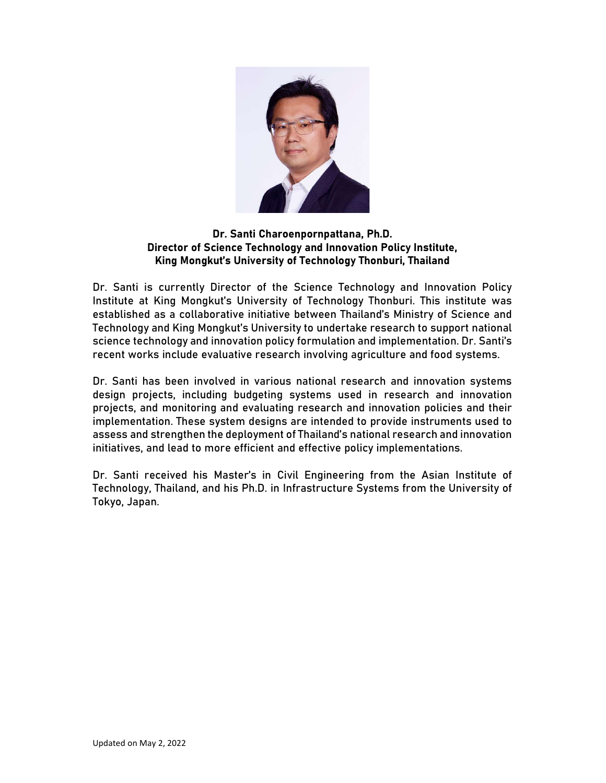

## Dr. Santi Charoenpornpattana, Ph.D. Director of Science Technology and Innovation Policy Institute, King Mongkut's University of Technology Thonburi, Thailand

Dr. Santi is currently Director of the Science Technology and Innovation Policy Institute at King Mongkut's University of Technology Thonburi. This institute was established as a collaborative initiative between Thailand's Ministry of Science and Technology and King Mongkut's University to undertake research to support national science technology and innovation policy formulation and implementation. Dr. Santi's recent works include evaluative research involving agriculture and food systems.

Dr. Santi has been involved in various national research and innovation systems design projects, including budgeting systems used in research and innovation projects, and monitoring and evaluating research and innovation policies and their implementation. These system designs are intended to provide instruments used to assess and strengthen the deployment of Thailand's national research and innovation initiatives, and lead to more efficient and effective policy implementations.

Dr. Santi received his Master's in Civil Engineering from the Asian Institute of Technology, Thailand, and his Ph.D. in Infrastructure Systems from the University of Tokyo, Japan.